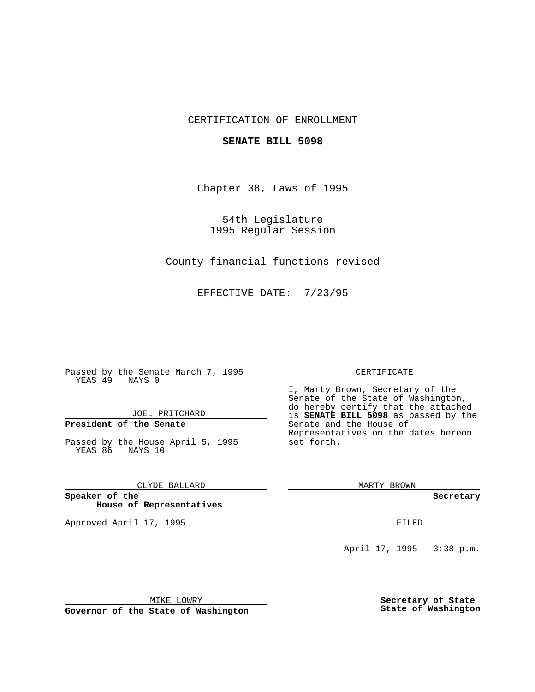## CERTIFICATION OF ENROLLMENT

### **SENATE BILL 5098**

Chapter 38, Laws of 1995

54th Legislature 1995 Regular Session

County financial functions revised

EFFECTIVE DATE: 7/23/95

Passed by the Senate March 7, 1995 YEAS 49 NAYS 0

JOEL PRITCHARD

# **President of the Senate**

Passed by the House April 5, 1995 YEAS 86 NAYS 10

CLYDE BALLARD

**Speaker of the House of Representatives**

Approved April 17, 1995 **FILED** 

#### CERTIFICATE

I, Marty Brown, Secretary of the Senate of the State of Washington, do hereby certify that the attached is **SENATE BILL 5098** as passed by the Senate and the House of Representatives on the dates hereon set forth.

MARTY BROWN

**Secretary**

April 17, 1995 - 3:38 p.m.

MIKE LOWRY **Governor of the State of Washington** **Secretary of State State of Washington**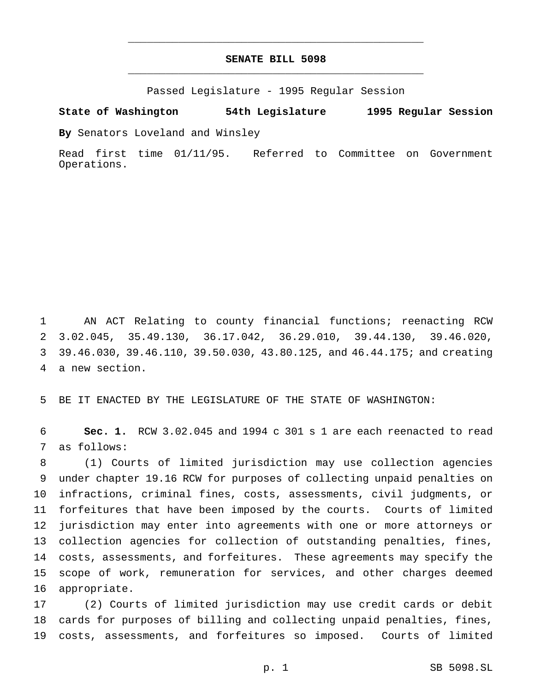# **SENATE BILL 5098** \_\_\_\_\_\_\_\_\_\_\_\_\_\_\_\_\_\_\_\_\_\_\_\_\_\_\_\_\_\_\_\_\_\_\_\_\_\_\_\_\_\_\_\_\_\_\_

\_\_\_\_\_\_\_\_\_\_\_\_\_\_\_\_\_\_\_\_\_\_\_\_\_\_\_\_\_\_\_\_\_\_\_\_\_\_\_\_\_\_\_\_\_\_\_

Passed Legislature - 1995 Regular Session

**State of Washington 54th Legislature 1995 Regular Session**

**By** Senators Loveland and Winsley

Read first time 01/11/95. Referred to Committee on Government Operations.

 AN ACT Relating to county financial functions; reenacting RCW 3.02.045, 35.49.130, 36.17.042, 36.29.010, 39.44.130, 39.46.020, 39.46.030, 39.46.110, 39.50.030, 43.80.125, and 46.44.175; and creating a new section.

BE IT ENACTED BY THE LEGISLATURE OF THE STATE OF WASHINGTON:

 **Sec. 1.** RCW 3.02.045 and 1994 c 301 s 1 are each reenacted to read as follows:

 (1) Courts of limited jurisdiction may use collection agencies under chapter 19.16 RCW for purposes of collecting unpaid penalties on infractions, criminal fines, costs, assessments, civil judgments, or forfeitures that have been imposed by the courts. Courts of limited jurisdiction may enter into agreements with one or more attorneys or collection agencies for collection of outstanding penalties, fines, costs, assessments, and forfeitures. These agreements may specify the scope of work, remuneration for services, and other charges deemed appropriate.

 (2) Courts of limited jurisdiction may use credit cards or debit cards for purposes of billing and collecting unpaid penalties, fines, costs, assessments, and forfeitures so imposed. Courts of limited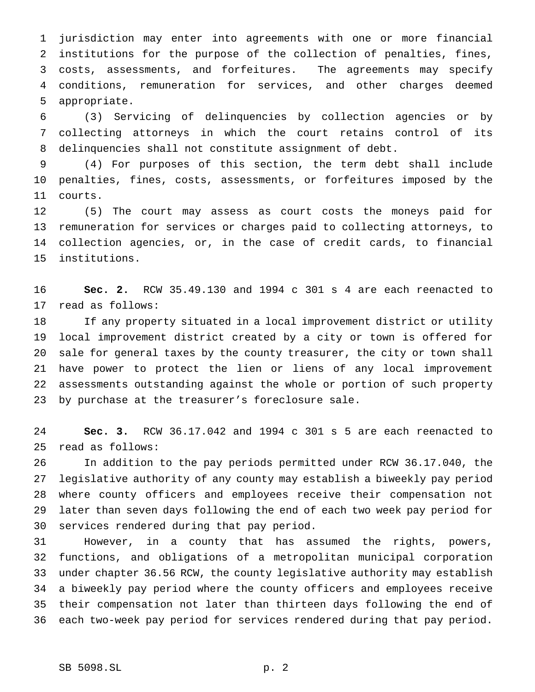jurisdiction may enter into agreements with one or more financial institutions for the purpose of the collection of penalties, fines, costs, assessments, and forfeitures. The agreements may specify conditions, remuneration for services, and other charges deemed appropriate.

 (3) Servicing of delinquencies by collection agencies or by collecting attorneys in which the court retains control of its delinquencies shall not constitute assignment of debt.

 (4) For purposes of this section, the term debt shall include penalties, fines, costs, assessments, or forfeitures imposed by the courts.

 (5) The court may assess as court costs the moneys paid for remuneration for services or charges paid to collecting attorneys, to collection agencies, or, in the case of credit cards, to financial institutions.

 **Sec. 2.** RCW 35.49.130 and 1994 c 301 s 4 are each reenacted to read as follows:

 If any property situated in a local improvement district or utility local improvement district created by a city or town is offered for sale for general taxes by the county treasurer, the city or town shall have power to protect the lien or liens of any local improvement assessments outstanding against the whole or portion of such property by purchase at the treasurer's foreclosure sale.

 **Sec. 3.** RCW 36.17.042 and 1994 c 301 s 5 are each reenacted to read as follows:

 In addition to the pay periods permitted under RCW 36.17.040, the legislative authority of any county may establish a biweekly pay period where county officers and employees receive their compensation not later than seven days following the end of each two week pay period for services rendered during that pay period.

 However, in a county that has assumed the rights, powers, functions, and obligations of a metropolitan municipal corporation under chapter 36.56 RCW, the county legislative authority may establish a biweekly pay period where the county officers and employees receive their compensation not later than thirteen days following the end of each two-week pay period for services rendered during that pay period.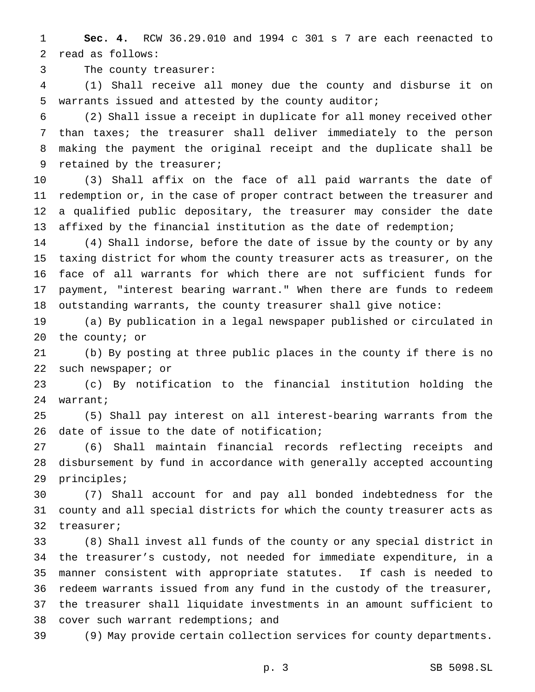**Sec. 4.** RCW 36.29.010 and 1994 c 301 s 7 are each reenacted to read as follows:

The county treasurer:

 (1) Shall receive all money due the county and disburse it on warrants issued and attested by the county auditor;

 (2) Shall issue a receipt in duplicate for all money received other than taxes; the treasurer shall deliver immediately to the person making the payment the original receipt and the duplicate shall be retained by the treasurer;

 (3) Shall affix on the face of all paid warrants the date of redemption or, in the case of proper contract between the treasurer and a qualified public depositary, the treasurer may consider the date affixed by the financial institution as the date of redemption;

 (4) Shall indorse, before the date of issue by the county or by any taxing district for whom the county treasurer acts as treasurer, on the face of all warrants for which there are not sufficient funds for payment, "interest bearing warrant." When there are funds to redeem outstanding warrants, the county treasurer shall give notice:

 (a) By publication in a legal newspaper published or circulated in the county; or

 (b) By posting at three public places in the county if there is no such newspaper; or

 (c) By notification to the financial institution holding the warrant;

 (5) Shall pay interest on all interest-bearing warrants from the date of issue to the date of notification;

 (6) Shall maintain financial records reflecting receipts and disbursement by fund in accordance with generally accepted accounting principles;

 (7) Shall account for and pay all bonded indebtedness for the county and all special districts for which the county treasurer acts as treasurer;

 (8) Shall invest all funds of the county or any special district in the treasurer's custody, not needed for immediate expenditure, in a manner consistent with appropriate statutes. If cash is needed to redeem warrants issued from any fund in the custody of the treasurer, the treasurer shall liquidate investments in an amount sufficient to cover such warrant redemptions; and

(9) May provide certain collection services for county departments.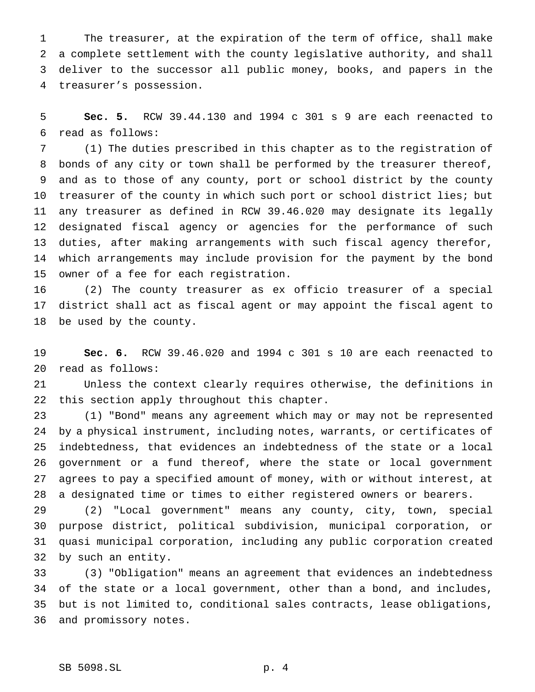The treasurer, at the expiration of the term of office, shall make a complete settlement with the county legislative authority, and shall deliver to the successor all public money, books, and papers in the treasurer's possession.

 **Sec. 5.** RCW 39.44.130 and 1994 c 301 s 9 are each reenacted to read as follows:

 (1) The duties prescribed in this chapter as to the registration of bonds of any city or town shall be performed by the treasurer thereof, and as to those of any county, port or school district by the county treasurer of the county in which such port or school district lies; but any treasurer as defined in RCW 39.46.020 may designate its legally designated fiscal agency or agencies for the performance of such duties, after making arrangements with such fiscal agency therefor, which arrangements may include provision for the payment by the bond owner of a fee for each registration.

 (2) The county treasurer as ex officio treasurer of a special district shall act as fiscal agent or may appoint the fiscal agent to be used by the county.

 **Sec. 6.** RCW 39.46.020 and 1994 c 301 s 10 are each reenacted to read as follows:

 Unless the context clearly requires otherwise, the definitions in this section apply throughout this chapter.

 (1) "Bond" means any agreement which may or may not be represented by a physical instrument, including notes, warrants, or certificates of indebtedness, that evidences an indebtedness of the state or a local government or a fund thereof, where the state or local government agrees to pay a specified amount of money, with or without interest, at a designated time or times to either registered owners or bearers.

 (2) "Local government" means any county, city, town, special purpose district, political subdivision, municipal corporation, or quasi municipal corporation, including any public corporation created by such an entity.

 (3) "Obligation" means an agreement that evidences an indebtedness of the state or a local government, other than a bond, and includes, but is not limited to, conditional sales contracts, lease obligations, and promissory notes.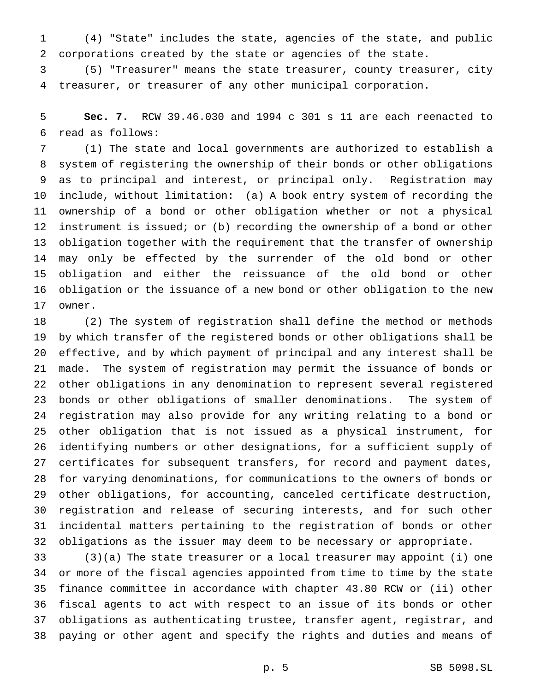(4) "State" includes the state, agencies of the state, and public corporations created by the state or agencies of the state.

 (5) "Treasurer" means the state treasurer, county treasurer, city treasurer, or treasurer of any other municipal corporation.

 **Sec. 7.** RCW 39.46.030 and 1994 c 301 s 11 are each reenacted to read as follows:

 (1) The state and local governments are authorized to establish a system of registering the ownership of their bonds or other obligations as to principal and interest, or principal only. Registration may include, without limitation: (a) A book entry system of recording the ownership of a bond or other obligation whether or not a physical instrument is issued; or (b) recording the ownership of a bond or other obligation together with the requirement that the transfer of ownership may only be effected by the surrender of the old bond or other obligation and either the reissuance of the old bond or other obligation or the issuance of a new bond or other obligation to the new owner.

 (2) The system of registration shall define the method or methods by which transfer of the registered bonds or other obligations shall be effective, and by which payment of principal and any interest shall be made. The system of registration may permit the issuance of bonds or other obligations in any denomination to represent several registered bonds or other obligations of smaller denominations. The system of registration may also provide for any writing relating to a bond or other obligation that is not issued as a physical instrument, for identifying numbers or other designations, for a sufficient supply of certificates for subsequent transfers, for record and payment dates, for varying denominations, for communications to the owners of bonds or other obligations, for accounting, canceled certificate destruction, registration and release of securing interests, and for such other incidental matters pertaining to the registration of bonds or other obligations as the issuer may deem to be necessary or appropriate.

 (3)(a) The state treasurer or a local treasurer may appoint (i) one or more of the fiscal agencies appointed from time to time by the state finance committee in accordance with chapter 43.80 RCW or (ii) other fiscal agents to act with respect to an issue of its bonds or other obligations as authenticating trustee, transfer agent, registrar, and paying or other agent and specify the rights and duties and means of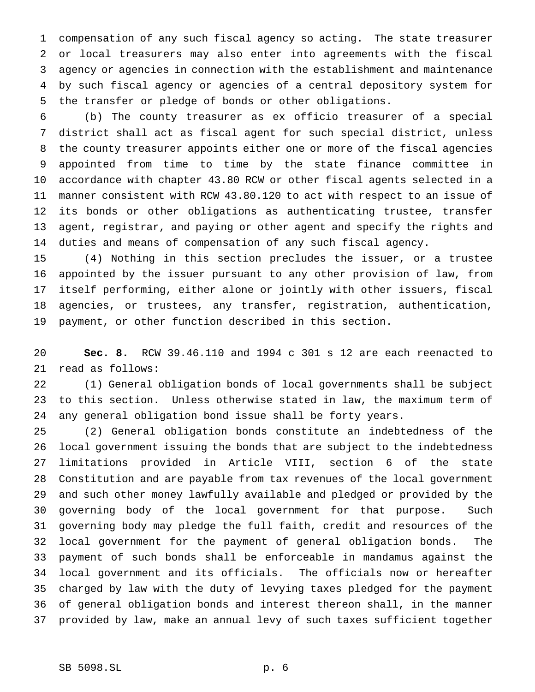compensation of any such fiscal agency so acting. The state treasurer or local treasurers may also enter into agreements with the fiscal agency or agencies in connection with the establishment and maintenance by such fiscal agency or agencies of a central depository system for the transfer or pledge of bonds or other obligations.

 (b) The county treasurer as ex officio treasurer of a special district shall act as fiscal agent for such special district, unless the county treasurer appoints either one or more of the fiscal agencies appointed from time to time by the state finance committee in accordance with chapter 43.80 RCW or other fiscal agents selected in a manner consistent with RCW 43.80.120 to act with respect to an issue of its bonds or other obligations as authenticating trustee, transfer agent, registrar, and paying or other agent and specify the rights and duties and means of compensation of any such fiscal agency.

 (4) Nothing in this section precludes the issuer, or a trustee appointed by the issuer pursuant to any other provision of law, from itself performing, either alone or jointly with other issuers, fiscal agencies, or trustees, any transfer, registration, authentication, payment, or other function described in this section.

 **Sec. 8.** RCW 39.46.110 and 1994 c 301 s 12 are each reenacted to read as follows:

 (1) General obligation bonds of local governments shall be subject to this section. Unless otherwise stated in law, the maximum term of any general obligation bond issue shall be forty years.

 (2) General obligation bonds constitute an indebtedness of the local government issuing the bonds that are subject to the indebtedness limitations provided in Article VIII, section 6 of the state Constitution and are payable from tax revenues of the local government and such other money lawfully available and pledged or provided by the governing body of the local government for that purpose. Such governing body may pledge the full faith, credit and resources of the local government for the payment of general obligation bonds. The payment of such bonds shall be enforceable in mandamus against the local government and its officials. The officials now or hereafter charged by law with the duty of levying taxes pledged for the payment of general obligation bonds and interest thereon shall, in the manner provided by law, make an annual levy of such taxes sufficient together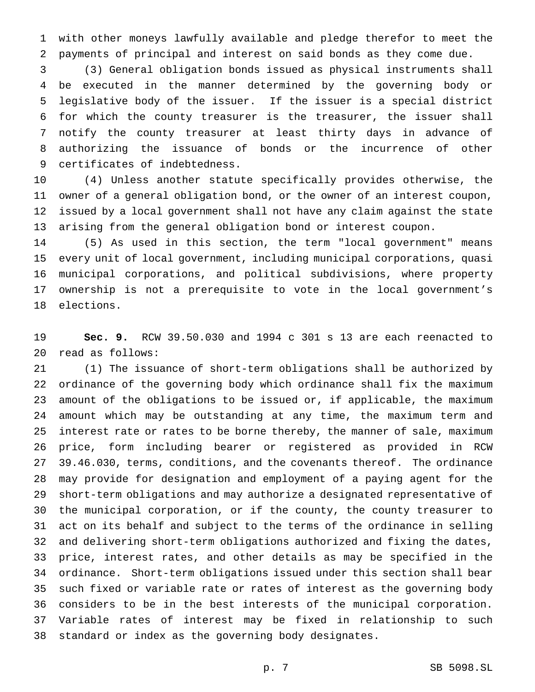with other moneys lawfully available and pledge therefor to meet the payments of principal and interest on said bonds as they come due.

 (3) General obligation bonds issued as physical instruments shall be executed in the manner determined by the governing body or legislative body of the issuer. If the issuer is a special district for which the county treasurer is the treasurer, the issuer shall notify the county treasurer at least thirty days in advance of authorizing the issuance of bonds or the incurrence of other certificates of indebtedness.

 (4) Unless another statute specifically provides otherwise, the owner of a general obligation bond, or the owner of an interest coupon, issued by a local government shall not have any claim against the state arising from the general obligation bond or interest coupon.

 (5) As used in this section, the term "local government" means every unit of local government, including municipal corporations, quasi municipal corporations, and political subdivisions, where property ownership is not a prerequisite to vote in the local government's elections.

 **Sec. 9.** RCW 39.50.030 and 1994 c 301 s 13 are each reenacted to read as follows:

 (1) The issuance of short-term obligations shall be authorized by ordinance of the governing body which ordinance shall fix the maximum amount of the obligations to be issued or, if applicable, the maximum amount which may be outstanding at any time, the maximum term and interest rate or rates to be borne thereby, the manner of sale, maximum price, form including bearer or registered as provided in RCW 39.46.030, terms, conditions, and the covenants thereof. The ordinance may provide for designation and employment of a paying agent for the short-term obligations and may authorize a designated representative of the municipal corporation, or if the county, the county treasurer to act on its behalf and subject to the terms of the ordinance in selling and delivering short-term obligations authorized and fixing the dates, price, interest rates, and other details as may be specified in the ordinance. Short-term obligations issued under this section shall bear such fixed or variable rate or rates of interest as the governing body considers to be in the best interests of the municipal corporation. Variable rates of interest may be fixed in relationship to such standard or index as the governing body designates.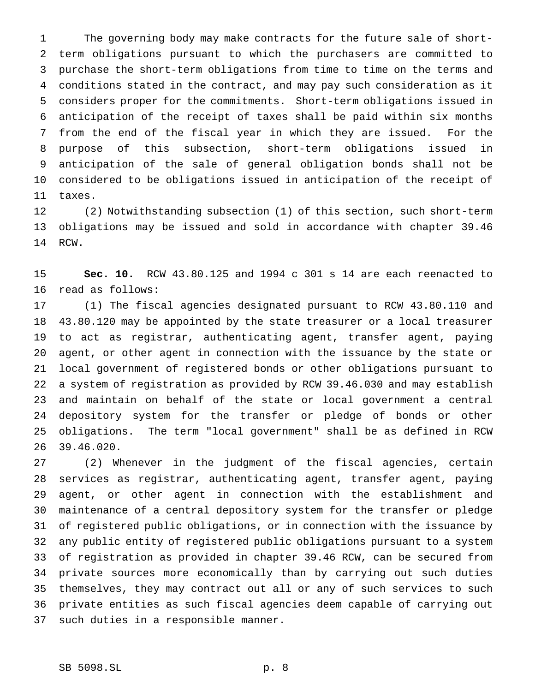The governing body may make contracts for the future sale of short- term obligations pursuant to which the purchasers are committed to purchase the short-term obligations from time to time on the terms and conditions stated in the contract, and may pay such consideration as it considers proper for the commitments. Short-term obligations issued in anticipation of the receipt of taxes shall be paid within six months from the end of the fiscal year in which they are issued. For the purpose of this subsection, short-term obligations issued in anticipation of the sale of general obligation bonds shall not be considered to be obligations issued in anticipation of the receipt of taxes.

 (2) Notwithstanding subsection (1) of this section, such short-term obligations may be issued and sold in accordance with chapter 39.46 RCW.

 **Sec. 10.** RCW 43.80.125 and 1994 c 301 s 14 are each reenacted to read as follows:

 (1) The fiscal agencies designated pursuant to RCW 43.80.110 and 43.80.120 may be appointed by the state treasurer or a local treasurer to act as registrar, authenticating agent, transfer agent, paying agent, or other agent in connection with the issuance by the state or local government of registered bonds or other obligations pursuant to a system of registration as provided by RCW 39.46.030 and may establish and maintain on behalf of the state or local government a central depository system for the transfer or pledge of bonds or other obligations. The term "local government" shall be as defined in RCW 39.46.020.

 (2) Whenever in the judgment of the fiscal agencies, certain services as registrar, authenticating agent, transfer agent, paying agent, or other agent in connection with the establishment and maintenance of a central depository system for the transfer or pledge of registered public obligations, or in connection with the issuance by any public entity of registered public obligations pursuant to a system of registration as provided in chapter 39.46 RCW, can be secured from private sources more economically than by carrying out such duties themselves, they may contract out all or any of such services to such private entities as such fiscal agencies deem capable of carrying out such duties in a responsible manner.